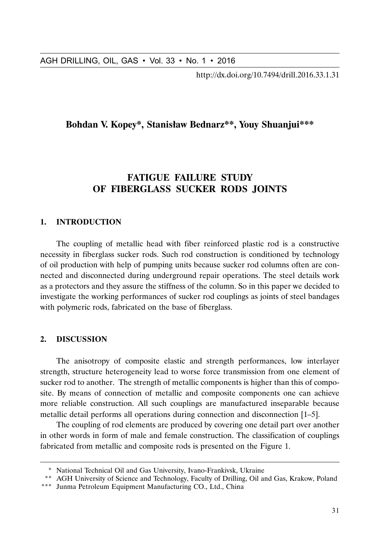http://dx.doi.org/10.7494/drill.2016.33.1.31

# **Bohdan V. Kopey\*, Stanisław Bednarz\*\*, Youy Shuanjui\*\*\***

# **FATIGUE FAILURE STUDY OF FIBERGLASS SUCKER RODS JOINTS**

### **1. INTRODUCTION**

AGH DRILLING, OIL, GAS • Vol. 33 • No. 1 • 2016<br>
http://dx.doi.org/10.7494/drill.2016.33.1.31<br>
Bohdan V. Kopey\*, Stanisław Bednarz<sup>#\*</sup>, Youy Shuanjui<sup>#\*\*\*</sup><br>
Forbian V. Kopey\*, Stanisław Bednarz<sup>#\*</sup>, Youy Shuanjui<sup>#\*\*\*</sup><br>
Th The coupling of metallic head with fiber reinforced plastic rod is a constructive necessity in fiberglass sucker rods. Such rod construction is conditioned by technology of oil production with help of pumping units because sucker rod columns often are connected and disconnected during underground repair operations. The steel details work as a protectors and they assure the stiffness of the column. So in this paper we decided to investigate the working performances of sucker rod couplings as joints of steel bandages with polymeric rods, fabricated on the base of fiberglass.

# **2. DISCUSSION**

The anisotropy of composite elastic and strength performances, low interlayer strength, structure heterogeneity lead to worse force transmission from one element of sucker rod to another. The strength of metallic components is higher than this of composite. By means of connection of metallic and composite components one can achieve more reliable construction. All such couplings are manufactured inseparable because metallic detail performs all operations during connection and disconnection [1–5].

The coupling of rod elements are produced by covering one detail part over another in other words in form of male and female construction. The classification of couplings fabricated from metallic and composite rods is presented on the Figure 1.

<sup>\*</sup> National Technical Oil and Gas University, Ivano-Frankivsk, Ukraine

<sup>\*\*</sup> AGH University of Science and Technology, Faculty of Drilling, Oil and Gas, Krakow, Poland

<sup>\*\*\*</sup> Junma Petroleum Equipment Manufacturing CO., Ltd., China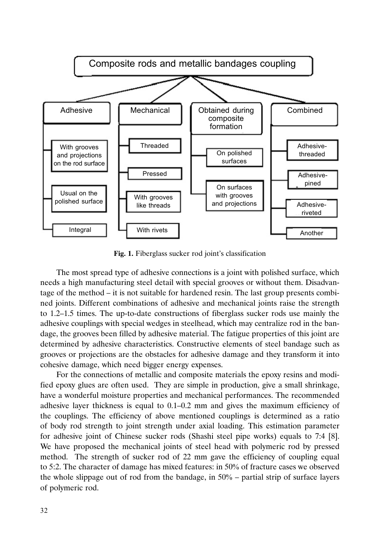

**Fig. 1.** Fiberglass sucker rod joint's classification

The most spread type of adhesive connections is a joint with polished surface, which needs a high manufacturing steel detail with special grooves or without them. Disadvantage of the method – it is not suitable for hardened resin. The last group presents combined joints. Different combinations of adhesive and mechanical joints raise the strength to 1.2–1.5 times. The up-to-date constructions of fiberglass sucker rods use mainly the adhesive couplings with special wedges in steelhead, which may centralize rod in the bandage, the grooves been filled by adhesive material. The fatigue properties of this joint are determined by adhesive characteristics. Constructive elements of steel bandage such as grooves or projections are the obstacles for adhesive damage and they transform it into cohesive damage, which need bigger energy expenses.

For the connections of metallic and composite materials the epoxy resins and modified epoxy glues are often used. They are simple in production, give a small shrinkage, have a wonderful moisture properties and mechanical performances. The recommended adhesive layer thickness is equal to 0.1–0.2 mm and gives the maximum efficiency of the couplings. The efficiency of above mentioned couplings is determined as a ratio of body rod strength to joint strength under axial loading. This estimation parameter for adhesive joint of Chinese sucker rods (Shashi steel pipe works) equals to 7:4 [8]. We have proposed the mechanical joints of steel head with polymeric rod by pressed method. The strength of sucker rod of 22 mm gave the efficiency of coupling equal to 5:2. The character of damage has mixed features: in 50% of fracture cases we observed the whole slippage out of rod from the bandage, in  $50\%$  – partial strip of surface layers of polymeric rod.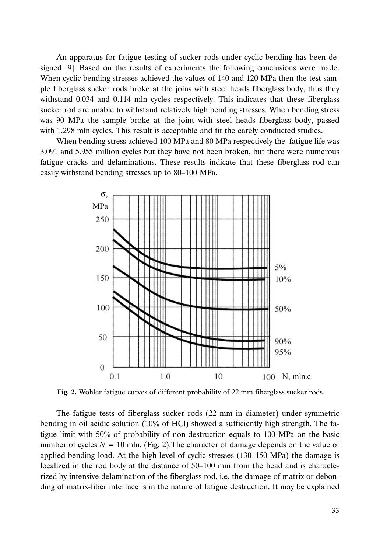An apparatus for fatigue testing of sucker rods under cyclic bending has been designed [9]. Based on the results of experiments the following conclusions were made. When cyclic bending stresses achieved the values of 140 and 120 MPa then the test sample fiberglass sucker rods broke at the joins with steel heads fiberglass body, thus they withstand 0.034 and 0.114 mln cycles respectively. This indicates that these fiberglass sucker rod are unable to withstand relatively high bending stresses. When bending stress was 90 MPa the sample broke at the joint with steel heads fiberglass body, passed with 1.298 mln cycles. This result is acceptable and fit the earely conducted studies.

When bending stress achieved 100 MPa and 80 MPa respectively the fatigue life was 3.091 and 5.955 million cycles but they have not been broken, but there were numerous fatigue cracks and delaminations. These results indicate that these fiberglass rod can easily withstand bending stresses up to 80–100 MPa.



**Fig. 2.** Wohler fatigue curves of different probability of 22 mm fiberglass sucker rods

The fatigue tests of fiberglass sucker rods (22 mm in diameter) under symmetric bending in oil acidic solution (10% of HCl) showed a sufficiently high strength. The fatigue limit with 50% of probability of non-destruction equals to 100 MPa on the basic number of cycles  $N = 10$  mln. (Fig. 2). The character of damage depends on the value of applied bending load. At the high level of cyclic stresses (130–150 MPa) the damage is localized in the rod body at the distance of 50–100 mm from the head and is characterized by intensive delamination of the fiberglass rod, i.e. the damage of matrix or debonding of matrix-fiber interface is in the nature of fatigue destruction. It may be explained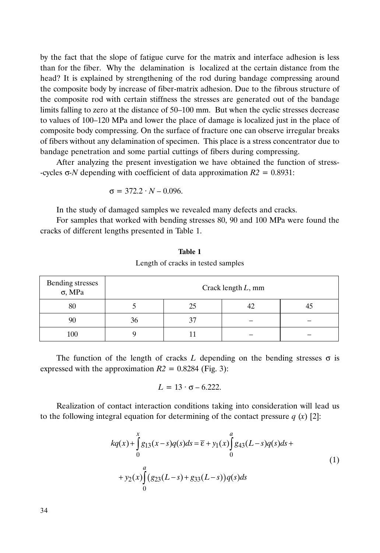by the fact that the slope of fatigue curve for the matrix and interface adhesion is less than for the fiber. Why the delamination is localized at the certain distance from the head? It is explained by strengthening of the rod during bandage compressing around the composite body by increase of fiber-matrix adhesion. Due to the fibrous structure of the composite rod with certain stiffness the stresses are generated out of the bandage limits falling to zero at the distance of 50–100 mm. But when the cyclic stresses decrease to values of 100–120 MPa and lower the place of damage is localized just in the place of composite body compressing. On the surface of fracture one can observe irregular breaks of fibers without any delamination of specimen. This place is a stress concentrator due to bandage penetration and some partial cuttings of fibers during compressing.

After analyzing the present investigation we have obtained the function of stress- -cycles σ*-N* depending with coefficient of data approximation *R2* = 0.8931:

$$
\sigma = 372.2 \cdot N - 0.096.
$$

In the study of damaged samples we revealed many defects and cracks.

For samples that worked with bending stresses 80, 90 and 100 MPa were found the cracks of different lengths presented in Table 1.

| Bending stresses<br>$\sigma$ , MPa | Crack length $L$ , mm |    |  |  |
|------------------------------------|-----------------------|----|--|--|
| 80                                 |                       | 25 |  |  |
| 90                                 | 36                    | 37 |  |  |
| 100                                |                       |    |  |  |

**Table 1** Length of cracks in tested samples

The function of the length of cracks  $L$  depending on the bending stresses  $\sigma$  is expressed with the approximation  $R2 = 0.8284$  (Fig. 3):

$$
L = 13 \cdot \sigma - 6.222.
$$

Realization of contact interaction conditions taking into consideration will lead us to the following integral equation for determining of the contact pressure  $q(x)$  [2]:

$$
kq(x) + \int_{0}^{x} g_{13}(x-s)q(s)ds = \overline{\varepsilon} + y_1(x) \int_{0}^{a} g_{43}(L-s)q(s)ds +
$$
  
+ 
$$
y_2(x) \int_{0}^{a} (g_{23}(L-s) + g_{33}(L-s))q(s)ds
$$
 (1)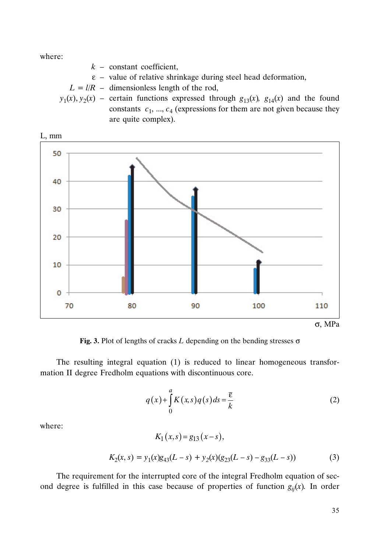where:

 $k$  – constant coefficient,

- $\epsilon$  value of relative shrinkage during steel head deformation,
- $L = l/R$  dimensionless length of the rod,
- $y_1(x), y_2(x)$  certain functions expressed through  $g_{13}(x), g_{14}(x)$  and the found constants  $c_1$ , ...,  $c_4$  (expressions for them are not given because they are quite complex).



**Fig. 3.** Plot of lengths of cracks *L* depending on the bending stresses σ

The resulting integral equation (1) is reduced to linear homogeneous transformation II degree Fredholm equations with discontinuous core.

$$
q(x) + \int_{0}^{a} K(x,s)q(s)ds = \frac{\overline{\varepsilon}}{k}
$$
 (2)

where:

$$
K_1(x,s) = g_{13}(x-s),
$$
  
\n
$$
K_2(x,s) = y_1(x)g_{43}(L-s) + y_2(x)(g_{23}(L-s) - g_{33}(L-s))
$$
\n(3)

The requirement for the interrupted core of the integral Fredholm equation of second degree is fulfilled in this case because of properties of function  $g_{ii}(x)$ . In order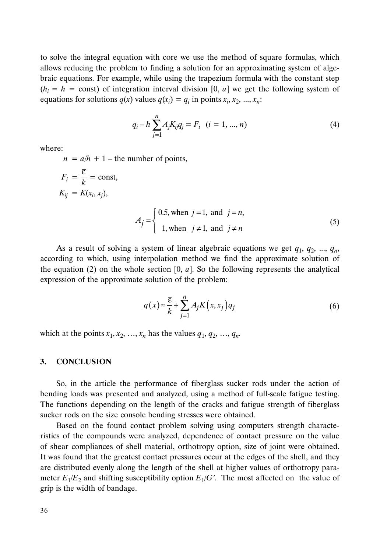to solve the integral equation with core we use the method of square formulas, which allows reducing the problem to finding a solution for an approximating system of algebraic equations. For example, while using the trapezium formula with the constant step  $(h<sub>i</sub> = h = \text{const})$  of integration interval division [0, *a*] we get the following system of equations for solutions  $q(x)$  values  $q(x_i) = q_i$  in points  $x_i, x_2, ..., x_n$ :

$$
q_i - h \sum_{j=1}^{n} A_j K_{ij} q_j = F_i \quad (i = 1, ..., n)
$$
 (4)

where:

 $n = a/h + 1$  – the number of points,

$$
F_i = \frac{\overline{\varepsilon}}{k} = \text{const},
$$
  
\n
$$
K_{ij} = K(x_i, x_j),
$$
  
\n
$$
A_j = \begin{cases} 0.5, \text{ when } j = 1, \text{ and } j = n, \\ 1, \text{ when } j \neq 1, \text{ and } j \neq n \end{cases}
$$
\n(5)

As a result of solving a system of linear algebraic equations we get  $q_1, q_2, ..., q_n$ , according to which, using interpolation method we find the approximate solution of the equation (2) on the whole section [0, *a*]. So the following represents the analytical expression of the approximate solution of the problem:

$$
q(x) \approx \frac{\overline{\varepsilon}}{k} + \sum_{j=1}^{n} A_j K(x, x_j) q_j
$$
 (6)

which at the points  $x_1, x_2, \ldots, x_n$  has the values  $q_1, q_2, \ldots, q_n$ .

## **3. CONCLUSION**

So, in the article the performance of fiberglass sucker rods under the action of bending loads was presented and analyzed, using a method of full-scale fatigue testing. The functions depending on the length of the cracks and fatigue strength of fiberglass sucker rods on the size console bending stresses were obtained.

Based on the found contact problem solving using computers strength characteristics of the compounds were analyzed, dependence of contact pressure on the value of shear compliances of shell material, orthotropy option, size of joint were obtained. It was found that the greatest contact pressures occur at the edges of the shell, and they are distributed evenly along the length of the shell at higher values of orthotropy para-<br>meter  $E_1/E_2$  and shifting susceptibility option  $E_1/G'$ . The most affected on the value of meter  $E_1/E_2$  and shifting susceptibility option  $E_1/G'$ . The most affected on the value of grip is the width of bandage.